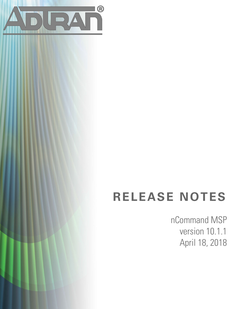

# **RELEASE NOTES**

nCommand MSP version 10.1.1 April 18, 2018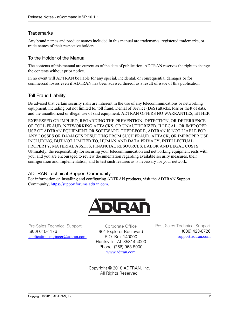## **Trademarks**

Any brand names and product names included in this manual are trademarks, registered trademarks, or trade names of their respective holders.

## To the Holder of the Manual

The contents of this manual are current as of the date of publication. ADTRAN reserves the right to change the contents without prior notice.

In no event will ADTRAN be liable for any special, incidental, or consequential damages or for commercial losses even if ADTRAN has been advised thereof as a result of issue of this publication.

## Toll Fraud Liability

Be advised that certain security risks are inherent in the use of any telecommunications or networking equipment, including but not limited to, toll fraud, Denial of Service (DoS) attacks, loss or theft of data, and the unauthorized or illegal use of said equipment. ADTRAN OFFERS NO WARRANTIES, EITHER

EXPRESSED OR IMPLIED, REGARDING THE PREVENTION, DETECTION, OR DETERRENCE OF TOLL FRAUD, NETWORKING ATTACKS, OR UNAUTHORIZED, ILLEGAL, OR IMPROPER USE OF ADTRAN EQUIPMENT OR SOFTWARE. THEREFORE, ADTRAN IS NOT LIABLE FOR ANY LOSSES OR DAMAGES RESULTING FROM SUCH FRAUD, ATTACK, OR IMPROPER USE, INCLUDING, BUT NOT LIMITED TO, HUMAN AND DATA PRIVACY, INTELLECTUAL PROPERTY, MATERIAL ASSETS, FINANCIAL RESOURCES, LABOR AND LEGAL COSTS. Ultimately, the responsibility for securing your telecommunication and networking equipment rests with you, and you are encouraged to review documentation regarding available security measures, their configuration and implementation, and to test such features as is necessary for your network.

## ADTRAN Technical Support Community

For information on installing and configuring ADTRAN products, visit the ADTRAN Support Community, https://supportforums.adtran.com.



Pre-Sales Technical Support (800) 615-1176 application.engineer@adtran.com

Corporate Office 901 Explorer Boulevard P.O. Box 140000 Huntsville, AL 35814-4000 Phone: (256) 963-8000 www.adtran.com

Post-Sales Technical Support (888) 423-8726 [support.adtran.com](http://support.adtran.com)

Copyright © 2018 ADTRAN, Inc. All Rights Reserved.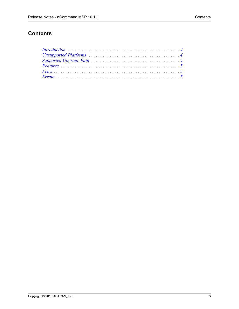# **Contents**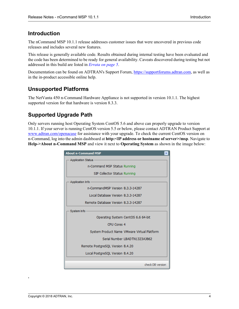# <span id="page-3-2"></span>**Introduction**

The nCommand MSP 10.1.1 release addresses customer issues that were uncovered in previous code releases and includes several new features.

This release is generally available code. Results obtained during internal testing have been evaluated and the code has been determined to be ready for general availability. Caveats discovered during testing but not addressed in this build are listed in *[Errata on page 5](#page-4-2)*.

[Documentation can be found on ADTRAN's Support Forum, h](https://supportforums.adtran.com)ttps://supportforums.adtran.com, as well as in the in-product accessible online help.

# <span id="page-3-0"></span>**Unsupported Platforms**

The NetVanta 450 n-Command Hardware Appliance is not supported in version 10.1.1. The highest supported version for that hardware is version 8.3.3.

# <span id="page-3-1"></span>**Supported Upgrade Path**

Only servers running host Operating System CentOS 5.6 and above can properly upgrade to version 10.1.1. If your server is running CentOS version 5.5 or below, please contact ADTRAN Product Support at <www.adtran.com/openacase>for assistance with your upgrade. To check the current CentOS version on n-Command, log into the admin dashboard at **http:<IP address or hostname of server>/msp**. Navigate to **Help->About n-Command MSP** and view it next to **Operating System** as shown in the image below:

| <b>About n-Command MSP</b>                  |
|---------------------------------------------|
| <b>Application Status</b>                   |
| n-Command MSP Status Running                |
| SIP Collector Status Running                |
| Application Info                            |
| n-CommandMSP Version 8.3.3-14287            |
| Local Database Version 8.3.3-14287          |
| Remote Database Version 8.3.3-14287         |
| System Info                                 |
| Operating System CentOS 6.6 64-bit          |
| CPU Cores 4                                 |
| System Product Name VMware Virtual Platform |
| Serial Number LBADTN1323AJ862               |
| Remote PostgreSQL Version 8.4.20            |
| Local PostgreSQL Version 8.4.20             |
|                                             |
| check DB version                            |

**.**